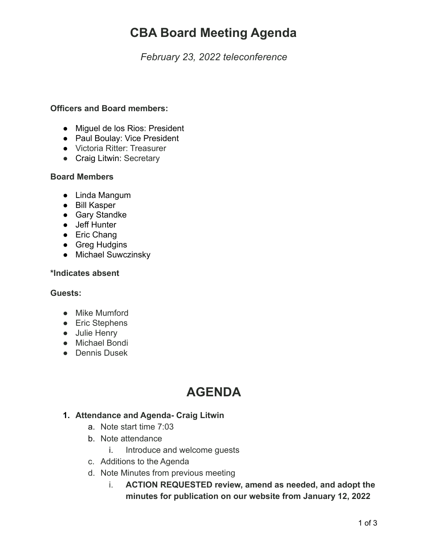# **CBA Board Meeting Agenda**

*February 23, 2022 teleconference*

#### **Officers and Board members:**

- Miguel de los Rios: President
- Paul Boulay: Vice President
- Victoria Ritter: Treasurer
- Craig Litwin: Secretary

### **Board Members**

- Linda Mangum
- Bill Kasper
- Gary Standke
- Jeff Hunter
- Eric Chang
- Greg Hudgins
- Michael Suwczinsky

#### **\*Indicates absent**

#### **Guests:**

- **●** Mike Mumford
- Eric Stephens
- Julie Henry
- Michael Bondi
- Dennis Dusek

## **AGENDA**

### **1. Attendance and Agenda- Craig Litwin**

- a. Note start time 7:03
- b. Note attendance
	- i. Introduce and welcome guests
- c. Additions to the Agenda
- d. Note Minutes from previous meeting
	- i. **ACTION REQUESTED review, amend as needed, and adopt the minutes for publication on our website from January 12, 2022**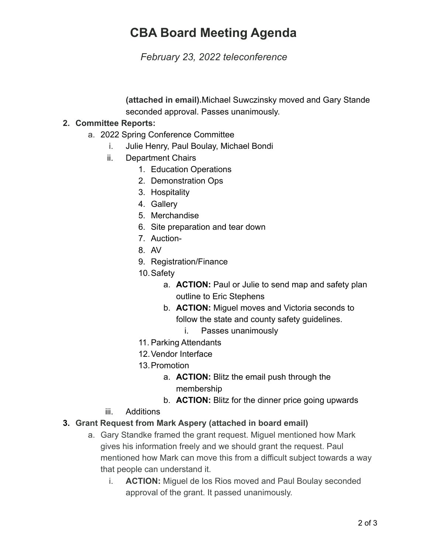# **CBA Board Meeting Agenda**

*February 23, 2022 teleconference*

**(attached in email).**Michael Suwczinsky moved and Gary Stande seconded approval. Passes unanimously.

### **2. Committee Reports:**

- a. 2022 Spring Conference Committee
	- i. Julie Henry, Paul Boulay, Michael Bondi
	- ii. Department Chairs
		- 1. Education Operations
		- 2. Demonstration Ops
		- 3. Hospitality
		- 4. Gallery
		- 5. Merchandise
		- 6. Site preparation and tear down
		- 7. Auction-
		- 8. AV
		- 9. Registration/Finance
		- 10.Safety
			- a. **ACTION:** Paul or Julie to send map and safety plan outline to Eric Stephens
			- b. **ACTION:** Miguel moves and Victoria seconds to follow the state and county safety guidelines.
				- i. Passes unanimously
		- 11. Parking Attendants
		- 12.Vendor Interface
		- 13.Promotion
			- a. **ACTION:** Blitz the email push through the membership
			- b. **ACTION:** Blitz for the dinner price going upwards
	- iii. Additions

### **3. Grant Request from Mark Aspery (attached in board email)**

- a. Gary Standke framed the grant request. Miguel mentioned how Mark gives his information freely and we should grant the request. Paul mentioned how Mark can move this from a difficult subject towards a way that people can understand it.
	- i. **ACTION:** Miguel de los Rios moved and Paul Boulay seconded approval of the grant. It passed unanimously.